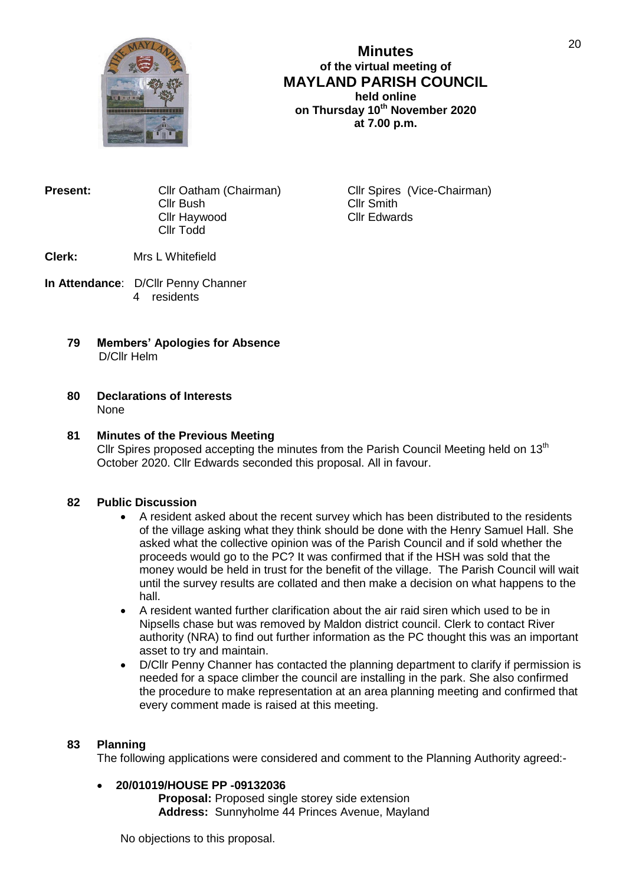

# **Minutes of the virtual meeting of MAYLAND PARISH COUNCIL held online on Thursday 10th November 2020 at 7.00 p.m.**

| Present: | Cllr Oatham (Chairman) |
|----------|------------------------|
|          | Cllr Bush              |
|          | Cllr Haywood           |
|          | Cllr Todd              |
|          |                        |

**Cllr Spires (Vice-Chairman)** Cllr Smith Cllr Edwards

## **Clerk:** Mrs L Whitefield

- **In Attendance**: D/Cllr Penny Channer 4 residents
	- **79 Members' Apologies for Absence** D/Cllr Helm

#### **80 Declarations of Interests** None

# **81 Minutes of the Previous Meeting**

Cllr Spires proposed accepting the minutes from the Parish Council Meeting held on  $13<sup>th</sup>$ October 2020. Cllr Edwards seconded this proposal. All in favour.

## **82 Public Discussion**

- A resident asked about the recent survey which has been distributed to the residents of the village asking what they think should be done with the Henry Samuel Hall. She asked what the collective opinion was of the Parish Council and if sold whether the proceeds would go to the PC? It was confirmed that if the HSH was sold that the money would be held in trust for the benefit of the village. The Parish Council will wait until the survey results are collated and then make a decision on what happens to the hall.
- A resident wanted further clarification about the air raid siren which used to be in Nipsells chase but was removed by Maldon district council. Clerk to contact River authority (NRA) to find out further information as the PC thought this was an important asset to try and maintain.
- D/Cllr Penny Channer has contacted the planning department to clarify if permission is needed for a space climber the council are installing in the park. She also confirmed the procedure to make representation at an area planning meeting and confirmed that every comment made is raised at this meeting.

#### **83 Planning**

The following applications were considered and comment to the Planning Authority agreed:-

#### **20/01019/HOUSE PP -09132036**

**Proposal:** Proposed single storey side extension **Address:** Sunnyholme 44 Princes Avenue, Mayland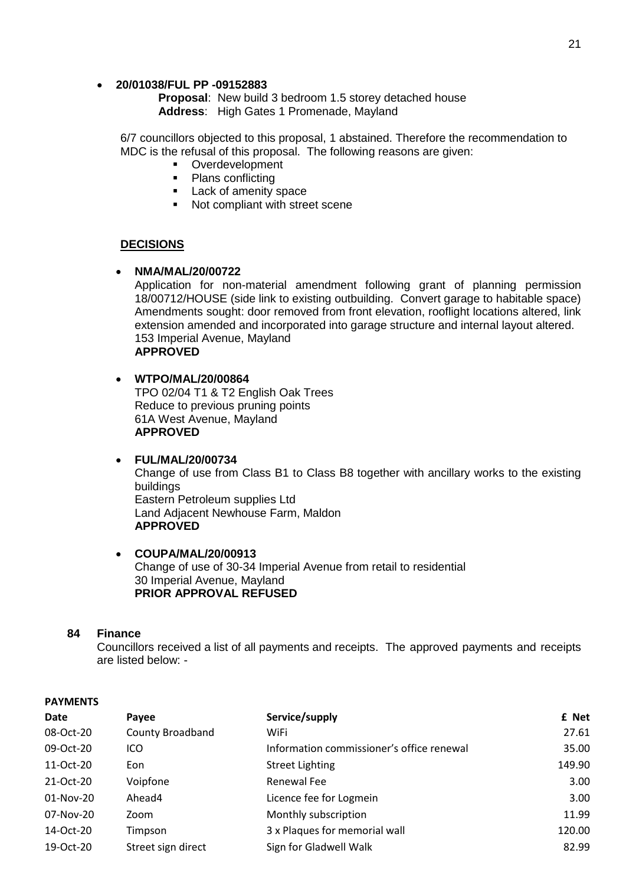### **20/01038/FUL PP -09152883**

**Proposal**: New build 3 bedroom 1.5 storey detached house **Address**: High Gates 1 Promenade, Mayland

6/7 councillors objected to this proposal, 1 abstained. Therefore the recommendation to MDC is the refusal of this proposal. The following reasons are given:

- Overdevelopment
- Plans conflicting
- **Lack of amenity space**
- Not compliant with street scene

### **DECISIONS**

**NMA/MAL/20/00722**

Application for non-material amendment following grant of planning permission 18/00712/HOUSE (side link to existing outbuilding. Convert garage to habitable space) Amendments sought: door removed from front elevation, rooflight locations altered, link extension amended and incorporated into garage structure and internal layout altered. 153 Imperial Avenue, Mayland **APPROVED** 

- **WTPO/MAL/20/00864** TPO 02/04 T1 & T2 English Oak Trees Reduce to previous pruning points 61A West Avenue, Mayland **APPROVED**
- **FUL/MAL/20/00734** Change of use from Class B1 to Class B8 together with ancillary works to the existing buildings Eastern Petroleum supplies Ltd Land Adjacent Newhouse Farm, Maldon **APPROVED**
- **COUPA/MAL/20/00913** Change of use of 30-34 Imperial Avenue from retail to residential 30 Imperial Avenue, Mayland **PRIOR APPROVAL REFUSED**

#### **84 Finance**

Councillors received a list of all payments and receipts. The approved payments and receipts are listed below: -

| Date      | Payee                   | Service/supply                            | £ Net  |
|-----------|-------------------------|-------------------------------------------|--------|
| 08-Oct-20 | <b>County Broadband</b> | WiFi                                      | 27.61  |
| 09-Oct-20 | ICO                     | Information commissioner's office renewal | 35.00  |
| 11-Oct-20 | Eon                     | <b>Street Lighting</b>                    | 149.90 |
| 21-Oct-20 | Voipfone                | Renewal Fee                               | 3.00   |
| 01-Nov-20 | Ahead4                  | Licence fee for Logmein                   | 3.00   |
| 07-Nov-20 | Zoom                    | Monthly subscription                      | 11.99  |
| 14-Oct-20 | Timpson                 | 3 x Plaques for memorial wall             | 120.00 |
| 19-Oct-20 | Street sign direct      | Sign for Gladwell Walk                    | 82.99  |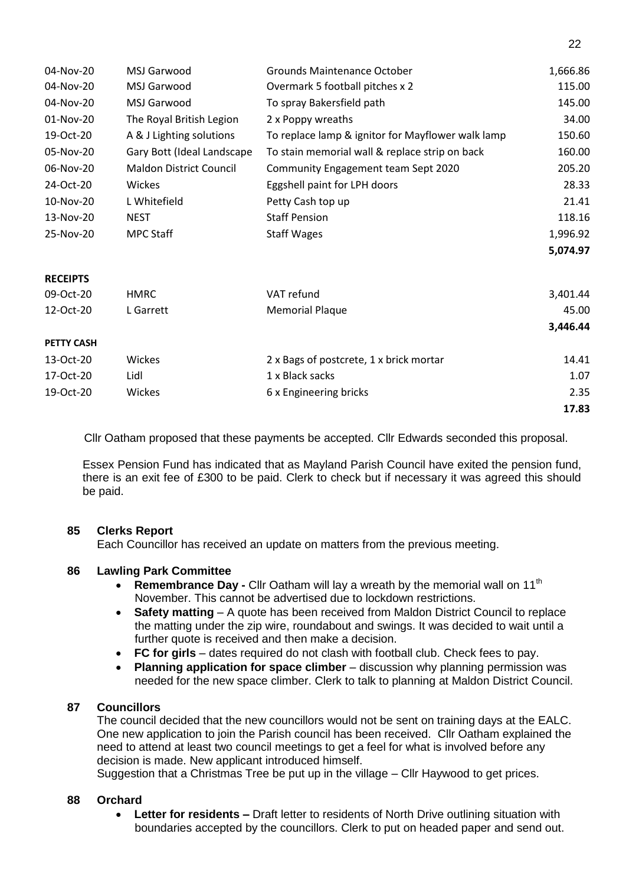| 04-Nov-20         | MSJ Garwood                    | <b>Grounds Maintenance October</b>                | 1,666.86 |
|-------------------|--------------------------------|---------------------------------------------------|----------|
| 04-Nov-20         | MSJ Garwood                    | Overmark 5 football pitches x 2                   | 115.00   |
| 04-Nov-20         | MSJ Garwood                    | To spray Bakersfield path                         | 145.00   |
| 01-Nov-20         | The Royal British Legion       | 2 x Poppy wreaths                                 | 34.00    |
| 19-Oct-20         | A & J Lighting solutions       | To replace lamp & ignitor for Mayflower walk lamp | 150.60   |
| 05-Nov-20         | Gary Bott (Ideal Landscape     | To stain memorial wall & replace strip on back    | 160.00   |
| 06-Nov-20         | <b>Maldon District Council</b> | Community Engagement team Sept 2020               | 205.20   |
| 24-Oct-20         | Wickes                         | Eggshell paint for LPH doors                      | 28.33    |
| 10-Nov-20         | L Whitefield                   | Petty Cash top up                                 | 21.41    |
| 13-Nov-20         | <b>NEST</b>                    | <b>Staff Pension</b>                              | 118.16   |
| 25-Nov-20         | <b>MPC Staff</b>               | <b>Staff Wages</b>                                | 1,996.92 |
|                   |                                |                                                   | 5,074.97 |
| <b>RECEIPTS</b>   |                                |                                                   |          |
| 09-Oct-20         | <b>HMRC</b>                    | VAT refund                                        | 3,401.44 |
| 12-Oct-20         | L Garrett                      | <b>Memorial Plaque</b>                            | 45.00    |
|                   |                                |                                                   | 3,446.44 |
| <b>PETTY CASH</b> |                                |                                                   |          |
| 13-Oct-20         | Wickes                         | 2 x Bags of postcrete, 1 x brick mortar           | 14.41    |
| 17-Oct-20         | Lidl                           | 1 x Black sacks                                   | 1.07     |
| 19-Oct-20         | Wickes                         | 6 x Engineering bricks                            | 2.35     |
|                   |                                |                                                   | 17.83    |

Cllr Oatham proposed that these payments be accepted. Cllr Edwards seconded this proposal.

Essex Pension Fund has indicated that as Mayland Parish Council have exited the pension fund, there is an exit fee of £300 to be paid. Clerk to check but if necessary it was agreed this should be paid.

## **85 Clerks Report**

Each Councillor has received an update on matters from the previous meeting.

#### **86 Lawling Park Committee**

- **Remembrance Day** Cllr Oatham will lay a wreath by the memorial wall on 11<sup>th</sup> November. This cannot be advertised due to lockdown restrictions.
- **Safety matting** A quote has been received from Maldon District Council to replace the matting under the zip wire, roundabout and swings. It was decided to wait until a further quote is received and then make a decision.
- **FC for girls** dates required do not clash with football club. Check fees to pay.
- **Planning application for space climber** discussion why planning permission was needed for the new space climber. Clerk to talk to planning at Maldon District Council.

#### **87 Councillors**

The council decided that the new councillors would not be sent on training days at the EALC. One new application to join the Parish council has been received. Cllr Oatham explained the need to attend at least two council meetings to get a feel for what is involved before any decision is made. New applicant introduced himself.

Suggestion that a Christmas Tree be put up in the village – Cllr Haywood to get prices.

### **88 Orchard**

 **Letter for residents –** Draft letter to residents of North Drive outlining situation with boundaries accepted by the councillors. Clerk to put on headed paper and send out.